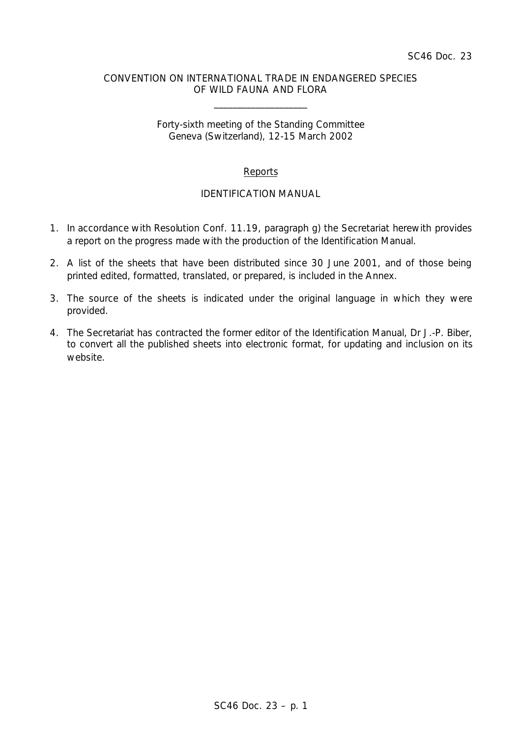#### CONVENTION ON INTERNATIONAL TRADE IN ENDANGERED SPECIES OF WILD FAUNA AND FLORA

\_\_\_\_\_\_\_\_\_\_\_\_\_\_\_\_\_\_\_\_

Forty-sixth meeting of the Standing Committee Geneva (Switzerland), 12-15 March 2002

#### Reports

#### IDENTIFICATION MANUAL

- 1. In accordance with Resolution Conf. 11.19, paragraph g) the Secretariat herewith provides a report on the progress made with the production of the Identification Manual.
- 2. A list of the sheets that have been distributed since 30 June 2001, and of those being printed edited, formatted, translated, or prepared, is included in the Annex.
- 3. The source of the sheets is indicated under the original language in which they were provided.
- 4. The Secretariat has contracted the former editor of the Identification Manual, Dr J.-P. Biber, to convert all the published sheets into electronic format, for updating and inclusion on its website.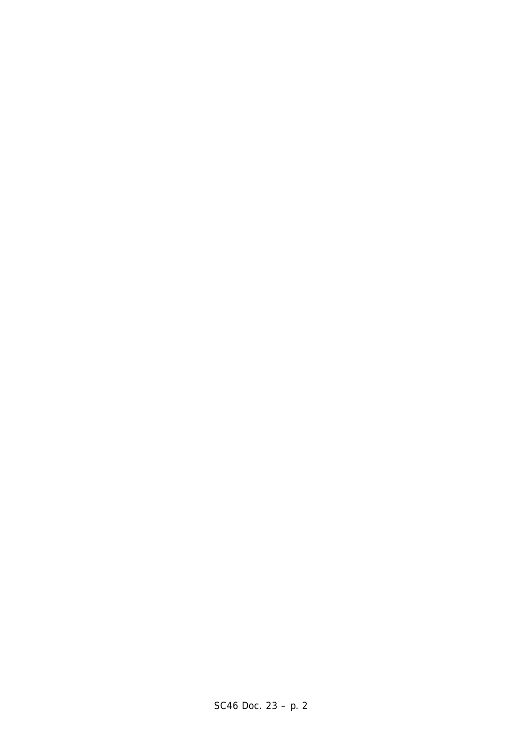SC46 Doc. 23 - p. 2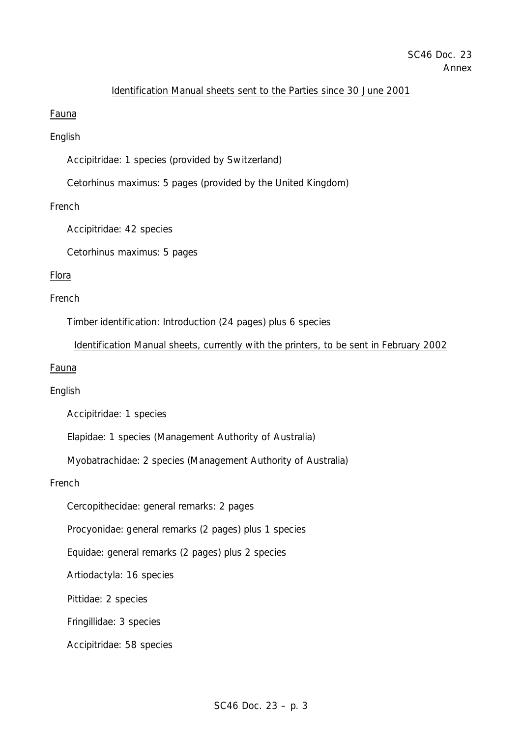#### Identification Manual sheets sent to the Parties since 30 June 2001

#### Fauna

#### English

Accipitridae: 1 species (provided by Switzerland)

*Cetorhinus maximus*: 5 pages (provided by the United Kingdom)

#### French

Accipitridae: 42 species

*Cetorhinus maximus*: 5 pages

#### Flora

#### French

Timber identification: Introduction (24 pages) plus 6 species

#### Identification Manual sheets, currently with the printers, to be sent in February 2002

#### **Fauna**

#### English

Accipitridae: 1 species

Elapidae: 1 species (Management Authority of Australia)

Myobatrachidae: 2 species (Management Authority of Australia)

#### French

Cercopithecidae: general remarks: 2 pages

Procyonidae: general remarks (2 pages) plus 1 species

Equidae: general remarks (2 pages) plus 2 species

Artiodactyla: 16 species

Pittidae: 2 species

Fringillidae: 3 species

Accipitridae: 58 species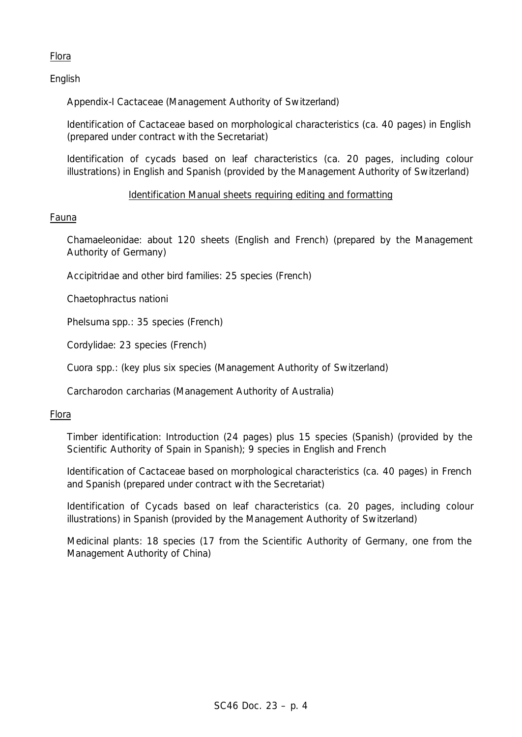#### Flora

English

Appendix-I Cactaceae (Management Authority of Switzerland)

Identification of Cactaceae based on morphological characteristics (ca. 40 pages) in English (prepared under contract with the Secretariat)

Identification of cycads based on leaf characteristics (ca. 20 pages, including colour illustrations) in English and Spanish (provided by the Management Authority of Switzerland)

### Identification Manual sheets requiring editing and formatting

#### Fauna

Chamaeleonidae: about 120 sheets (English and French) (prepared by the Management Authority of Germany)

Accipitridae and other bird families: 25 species (French)

*Chaetophractus nationi*

*Phelsuma* spp.: 35 species (French)

Cordylidae: 23 species (French)

*Cuora* spp.: (key plus six species (Management Authority of Switzerland)

*Carcharodon carcharias* (Management Authority of Australia)

#### Flora

Timber identification: Introduction (24 pages) plus 15 species (Spanish) (provided by the Scientific Authority of Spain in Spanish); 9 species in English and French

Identification of Cactaceae based on morphological characteristics (ca. 40 pages) in French and Spanish (prepared under contract with the Secretariat)

Identification of Cycads based on leaf characteristics (ca. 20 pages, including colour illustrations) in Spanish (provided by the Management Authority of Switzerland)

Medicinal plants: 18 species (17 from the Scientific Authority of Germany, one from the Management Authority of China)